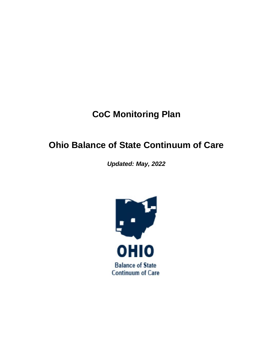# **CoC Monitoring Plan**

# **Ohio Balance of State Continuum of Care**

*Updated: May, 2022*

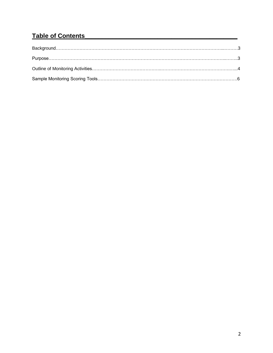## **Table of Contents\_\_\_\_\_\_\_\_\_\_\_\_\_\_\_\_\_\_\_\_\_\_\_\_\_\_\_\_\_\_\_\_\_\_\_\_\_\_\_\_\_\_\_\_**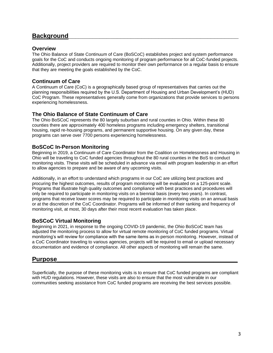## **Background\_\_\_\_\_\_\_\_\_\_\_\_\_\_\_\_\_\_\_\_\_\_\_\_\_\_\_\_\_\_\_\_\_\_\_\_\_\_\_\_\_\_\_\_\_\_\_\_\_**

## **Overview**

The Ohio Balance of State Continuum of Care (BoSCoC) establishes project and system performance goals for the CoC and conducts ongoing monitoring of program performance for all CoC-funded projects. Additionally, project providers are required to monitor their own performance on a regular basis to ensure that they are meeting the goals established by the CoC.

## **Continuum of Care**

A Continuum of Care (CoC) is a geographically based group of representatives that carries out the planning responsibilities required by the U.S. Department of Housing and Urban Development's (HUD) CoC Program. These representatives generally come from organizations that provide services to persons experiencing homelessness.

## **The Ohio Balance of State Continuum of Care**

The Ohio BoSCoC represents the 80 largely suburban and rural counties in Ohio. Within these 80 counties there are approximately 400 homeless programs including emergency shelters, transitional housing, rapid re-housing programs, and permanent supportive housing. On any given day, these programs can serve over 7700 persons experiencing homelessness.

### **BoSCoC In-Person Monitoring**

Beginning in 2019, a Continuum of Care Coordinator from the Coalition on Homelessness and Housing in Ohio will be traveling to CoC funded agencies throughout the 80 rural counties in the BoS to conduct monitoring visits. These visits will be scheduled in advance via email with program leadership in an effort to allow agencies to prepare and be aware of any upcoming visits.

Additionally, in an effort to understand which programs in our CoC are utilizing best practices and procuring the highest outcomes, results of program monitoring will be evaluated on a 125-point scale. Programs that illustrate high quality outcomes and compliance with best practices and procedures will only be required to participate in monitoring visits on a biennial basis (every two years). In contrast, programs that receive lower scores may be required to participate in monitoring visits on an annual basis or at the discretion of the CoC Coordinator. Programs will be informed of their ranking and frequency of monitoring visit, at most, 30 days after their most recent evaluation has taken place.

## **BoSCoC Virtual Monitoring**

Beginning in 2021, in response to the ongoing COVID-19 pandemic, the Ohio BoSCoC team has adjusted the monitoring process to allow for virtual remote monitoring of CoC funded programs. Virtual monitoring's will review for compliance with the same items as in-person monitoring. However, instead of a CoC Coordinator traveling to various agencies, projects will be required to email or upload necessary documentation and evidence of compliance. All other aspects of monitoring will remain the same.

## **Purpose\_\_\_\_\_\_\_\_\_\_\_\_\_\_\_\_\_\_\_\_\_\_\_\_\_\_\_\_\_\_\_\_\_\_\_\_\_\_\_\_\_\_\_\_\_\_\_\_\_\_\_\_**

Superficially, the purpose of these monitoring visits is to ensure that CoC funded programs are compliant with HUD regulations. However, these visits are also to ensure that the most vulnerable in our communities seeking assistance from CoC funded programs are receiving the best services possible.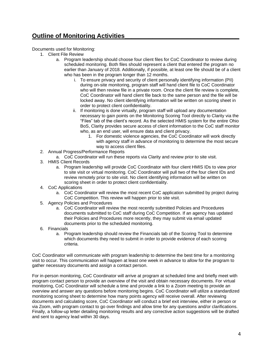## **Outline of Monitoring Activities**

Documents used for Monitoring:

- 1. Client File Review
	- a. Program leadership should choose four client files for CoC Coordinator to review during scheduled monitoring. Both files should represent a client that entered the program no earlier than January of 2018. Additionally, if possible, at least one file should be of a client who has been in the program longer than 12 months.
		- i. To ensure privacy and security of client personally identifying information (PII) during on-site monitoring, program staff will hand client file to CoC Coordinator who will then review file in a private room. Once the client file review is complete, CoC Coordinator will hand client file back to the same person and the file will be locked away. No client identifying information will be written on scoring sheet in order to protect client confidentiality.
		- ii. If monitoring is done virtually, program staff will upload any documentation necessary to gain points on the Monitoring Scoring Tool directly to Clarity via the "Files" tab of the client's record. As the selected HMIS system for the entire Ohio BoS, Clarity provides secure access of client information to the CoC staff monitor who, as an end user, will ensure data and client privacy.
			- 1. For domestic violence agencies, the CoC Coordinator will work directly with agency staff in advance of monitoring to determine the most secure way to access client files.
- 2. Annual Progress/Performance Reports
	- a. CoC Coordinator will run these reports via Clarity and review prior to site visit.
- 3. HMIS Client Records
	- a. Program leadership will provide CoC Coordinator with four client HMIS IDs to view prior to site visit or virtual monitoring. CoC Coordinator will pull two of the four client IDs and review remotely prior to site visit. No client identifying information will be written on scoring sheet in order to protect client confidentiality.
- 4. CoC Applications
	- a. CoC Coordinator will review the most recent CoC application submitted by project during CoC Competition. This review will happen prior to site visit.
- 5. Agency Policies and Procedures
	- a. CoC Coordinator will review the most recently submitted Policies and Procedures documents submitted to CoC staff during CoC Competition. If an agency has updated their Policies and Procedures more recently, they may submit via email updated documents prior to the scheduled monitoring.
- 6. Financials
	- a. Program leadership should review the Financials tab of the Scoring Tool to determine which documents they need to submit in order to provide evidence of each scoring criteria.

CoC Coordinator will communicate with program leadership to determine the best time for a monitoring visit to occur. This communication will happen at least one week in advance to allow for the program to gather necessary documents and assign a contact person.

For in-person monitoring, CoC Coordinator will arrive at program at scheduled time and briefly meet with program contact person to provide an overview of the visit and obtain necessary documents. For virtual monitoring, CoC Coordinator will schedule a time and provide a link to a Zoom meeting to provide an overview and answer any questions before monitoring begins. CoC Coordinator will utilize a standardized monitoring scoring sheet to determine how many points agency will receive overall. After reviewing documents and calculating score, CoC Coordinator will conduct a brief exit interview, either in person or via Zoom, with program contact to go over findings and allow time for any questions and/or clarifications. Finally, a follow-up letter detailing monitoring results and any corrective action suggestions will be drafted and sent to agency lead within 30 days.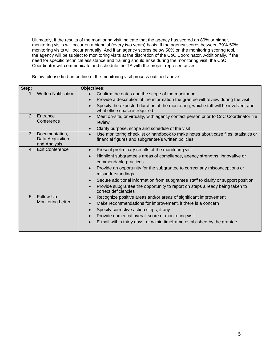Ultimately, if the results of the monitoring visit indicate that the agency has scored an 80% or higher, monitoring visits will occur on a biennial (every two years) basis. If the agency scores between 79%-50%, monitoring visits will occur annually. And if an agency scores below 50% on the monitoring scoring tool, the agency will be subject to monitoring visits at the discretion of the CoC Coordinator. Additionally, if the need for specific technical assistance and training should arise during the monitoring visit, the CoC Coordinator will communicate and schedule the TA with the project representatives.

Below, please find an outline of the monitoring visit process outlined above:

| Step:                                                     | <b>Objectives:</b>                                                                                                                                                                                                                                                                                                                                                                                                                                           |
|-----------------------------------------------------------|--------------------------------------------------------------------------------------------------------------------------------------------------------------------------------------------------------------------------------------------------------------------------------------------------------------------------------------------------------------------------------------------------------------------------------------------------------------|
| <b>Written Notification</b><br>1.                         | Confirm the dates and the scope of the monitoring<br>Provide a description of the information the grantee will review during the visit<br>Specify the expected duration of the monitoring, which staff will be involved, and<br>what office space is required                                                                                                                                                                                                |
| 2. Entrance<br>Conference                                 | Meet on-site, or virtually, with agency contact person prior to CoC Coordinator file<br>review<br>Clarify purpose, scope and schedule of the visit                                                                                                                                                                                                                                                                                                           |
| Documentation,<br>3.<br>Data Acquisition,<br>and Analysis | Use monitoring checklist or handbook to make notes about case files, statistics or<br>financial figures and subgrantee's written policies                                                                                                                                                                                                                                                                                                                    |
| <b>Exit Conference</b><br>$4_{-}$                         | Present preliminary results of the monitoring visit<br>Highlight subgrantee's areas of compliance, agency strengths, innovative or<br>commendable practices<br>Provide an opportunity for the subgrantee to correct any misconceptions or<br>misunderstandings<br>Secure additional information from subgrantee staff to clarify or support position<br>Provide subgrantee the opportunity to report on steps already being taken to<br>correct deficiencies |
| Follow-Up<br>5.<br><b>Monitoring Letter</b>               | Recognize positive areas and/or areas of significant improvement<br>$\bullet$<br>Make recommendations for improvement, if there is a concern<br>Specify corrective action steps, if any<br>Provide numerical overall score of monitoring visit<br>E-mail within thirty days, or within timeframe established by the grantee                                                                                                                                  |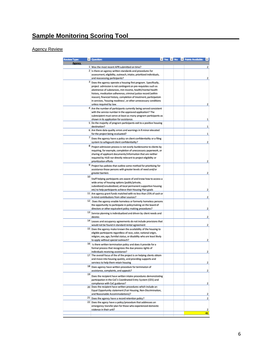## Sample Monitoring Scoring Tool

Agency Review

| <b>Review Type:</b> |    | Question:                                                                                                                             |  |  | <b>Ves</b> Mo <b>V</b> Points Available: |                |
|---------------------|----|---------------------------------------------------------------------------------------------------------------------------------------|--|--|------------------------------------------|----------------|
| <b>Agency</b>       |    |                                                                                                                                       |  |  |                                          |                |
|                     |    | 1 Was the most recent APR submitted on time?<br>2 Is there an agency written standards and procedures for                             |  |  |                                          | 2              |
|                     |    | assessment, eligibility, outreach, intake, prioritized individuals,                                                                   |  |  |                                          |                |
|                     |    | and reassessing participants?                                                                                                         |  |  |                                          | $\overline{2}$ |
|                     |    | 3 Does the agency operate a housing first program. Specifically,                                                                      |  |  |                                          |                |
|                     |    | project admission is not contingent on pre-requisites such as                                                                         |  |  |                                          |                |
|                     |    | abstinence of substances, min income, health/mental health<br>history, medication adherence, criminal justice record (within          |  |  |                                          |                |
|                     |    | reason), financial history, completion of treatment, participatoin                                                                    |  |  |                                          |                |
|                     |    | in services, 'housing readiness', or other unnecessary conditions                                                                     |  |  |                                          |                |
|                     |    | unless required by law.                                                                                                               |  |  |                                          | 2              |
|                     |    | 4 Are the number of participants currently being served consistent                                                                    |  |  |                                          |                |
|                     |    | with the service number in the approved application? The<br>subrecipient must serve at least as many program participants as          |  |  |                                          |                |
|                     |    | shown in its application for assistance.                                                                                              |  |  |                                          | 1              |
|                     |    | 5 Do the majority of program participants exit to a positive housing                                                                  |  |  |                                          |                |
|                     |    | destination?                                                                                                                          |  |  |                                          | 1              |
|                     |    | 6 Are there data quality errors and warnings in R minor elevated<br>for the project being evaluated?                                  |  |  |                                          | 1              |
|                     |    | Does the agency have a policy on client confidentiality or a filing                                                                   |  |  |                                          |                |
|                     |    | system to safegaurd client confidentiality?                                                                                           |  |  |                                          | $\overline{2}$ |
|                     |    | $8$ Project admission process is not overly burdensome to clients by                                                                  |  |  |                                          |                |
|                     |    | requiring, for example, completion of uneccessary paperwork, or                                                                       |  |  |                                          |                |
|                     |    | sharing of applicant documents/information that are neither                                                                           |  |  |                                          |                |
|                     |    | required by HUD nor directly relevant to project eligibility or                                                                       |  |  |                                          |                |
|                     |    | prioritization efforts<br>9 Project has policies that outline some method for prioritizing for                                        |  |  |                                          | 2              |
|                     |    | assistance those persons with greater levels of need and/or                                                                           |  |  |                                          |                |
|                     |    | greater barriers                                                                                                                      |  |  |                                          | 2              |
|                     | 10 | Staff helping participants are aware of and know how to access a                                                                      |  |  |                                          |                |
|                     |    | wide array of housing options (public/private,                                                                                        |  |  |                                          |                |
|                     |    | subsidized/unsubsidized, all local permanent supportive housing                                                                       |  |  |                                          |                |
|                     |    | etc) to help participants achieve their Housing Plan goals                                                                            |  |  |                                          | 2              |
|                     |    | 11 Are agency grant funds matched with no less than 25% of cash or                                                                    |  |  |                                          |                |
|                     |    | in-kind contributions from other sources?<br>12 Does the agency enable homeless or formerly homeless persons                          |  |  |                                          | 2              |
|                     |    | the opportunity to participate in policymaking on the board of                                                                        |  |  |                                          |                |
|                     |    | directors or other equivalent policy making procedures?                                                                               |  |  |                                          | 2              |
|                     |    | $13$ Service planning is individualized and driven by client needs and                                                                |  |  |                                          |                |
|                     |    | desires                                                                                                                               |  |  |                                          | 2              |
|                     |    | 14 Leases and occupancy agreements do not include provisions that                                                                     |  |  |                                          |                |
|                     |    | would not be found in standard rental agreement                                                                                       |  |  |                                          | 2              |
|                     |    | 15 Does the agency make known the availability of the housing to<br>eligible participants regardless of race, color, national origin, |  |  |                                          |                |
|                     |    | religion, sex, age, familial status, or disability who are least likely                                                               |  |  |                                          |                |
|                     |    | to apply without special outreach?                                                                                                    |  |  |                                          | 2              |
|                     |    | 16 Is there written termination policy and does it provide for a                                                                      |  |  |                                          |                |
|                     |    | formal process that recognizes the due process rights of                                                                              |  |  |                                          |                |
|                     |    | individuals receiving assistance?<br>17 The overall focus of the of the project is on helping clients obtain                          |  |  |                                          | 2              |
|                     |    | and move into housing quickly, and providing supports and                                                                             |  |  |                                          |                |
|                     |    | serviecs to help them retain housing                                                                                                  |  |  |                                          | 2              |
|                     |    | 18 Does agency have written procedure for terminaton of                                                                               |  |  |                                          |                |
|                     |    | assistance, complaints, and appeals?                                                                                                  |  |  |                                          | 2              |
|                     | 19 | Does the recipient have written intake procedures demonstrating                                                                       |  |  |                                          |                |
|                     |    | participation in the CoC's Coordinated Entry System (CES) and                                                                         |  |  |                                          |                |
|                     |    | compliance with CoC guidance?<br>20 Does the recipient have written procedures which include an                                       |  |  |                                          | 2              |
|                     |    | Equal Opportunity statement (Fair Housing, Non-Discrimination,                                                                        |  |  |                                          |                |
|                     |    | and Reasonable Accommodations)?                                                                                                       |  |  |                                          | 2              |
|                     |    | <sup>21</sup> Does the agency have a record retention policy?                                                                         |  |  |                                          | 2              |
|                     |    | 22 Does the agecy have a policy/procedure that addresses an                                                                           |  |  |                                          |                |
|                     |    | emergency transfer plan for those who experienced domestic<br>violence in their unit?                                                 |  |  |                                          | 2              |
|                     |    |                                                                                                                                       |  |  |                                          | 41             |
|                     |    |                                                                                                                                       |  |  |                                          |                |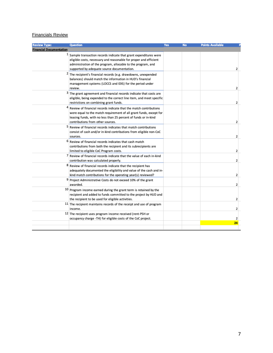#### Financials Review

| <b>Review Type:</b>            | <b>Question</b>                                                                                                                                                                                                                                          | Yes | <b>No</b> | <b>Points Available</b> |  |
|--------------------------------|----------------------------------------------------------------------------------------------------------------------------------------------------------------------------------------------------------------------------------------------------------|-----|-----------|-------------------------|--|
| <b>Financial Documentation</b> |                                                                                                                                                                                                                                                          |     |           |                         |  |
|                                | $1$ Sample transaction records indicate that grant expenditures were<br>eligible costs, necessary and reasonable for proper and efficient<br>administration of the program, allocable to the program, and<br>supported by adequate source documentation. |     |           | 2                       |  |
|                                | <sup>2</sup> The recipient's financial records (e.g. drawdowns, unexpended<br>balances) should match the information in HUD's financial<br>management systems (LOCCS and IDIS) for the period under<br>review.                                           |     |           | $\overline{2}$          |  |
|                                | 3 The grant agreement and financial records indicate that costs are<br>eligible, being expended to the correct line item, and meet specific<br>restrictions on combining grant funds.                                                                    |     |           | 2                       |  |
| 4                              | Review of financial records indicate that the match contributions<br>were equal to the match requirement of all grant funds, except for<br>leasing funds, with no less than 25 percent of funds or in-kind<br>contributions from other sources.          |     |           | 2                       |  |
|                                | 5 Review of financial records indicates that match contributions<br>consist of cash and/or in-kind contributions from eligible non-CoC<br>sources.                                                                                                       |     |           | 2                       |  |
| 6                              | Review of financial records indicates that cash match<br>contributions from both the recipient and its subrecipients are<br>limited to eligible CoC Program costs.                                                                                       |     |           | 2                       |  |
|                                | 7 Review of financial records indicate that the value of each in-kind<br>contribution was calculated properly.                                                                                                                                           |     |           | $\overline{2}$          |  |
|                                | 8 Review of financial records indicate that the recipient has<br>adequately documented the eligibility and value of the cash and in-<br>kind match contributions for the operating year(s) reviewed?                                                     |     |           | 2                       |  |
|                                | 9 Project Administrative Costs do not exceed 10% of the grant<br>awarded.                                                                                                                                                                                |     |           | $\overline{2}$          |  |
|                                | 10 Program income earned during the grant term is retained by the<br>recipient and added to funds committed to the project by HUD and<br>the recipient to be used for eligible activities.                                                               |     |           | 2                       |  |
|                                | $11$ The recipient maintains records of the receipt and use of program<br>income.                                                                                                                                                                        |     |           | 2                       |  |
|                                | 12 The recipient uses program income received (rent-PSH or<br>occupancy charge -TH) for eligible costs of the CoC project.                                                                                                                               |     |           | 2                       |  |
|                                |                                                                                                                                                                                                                                                          |     |           | 24                      |  |
|                                |                                                                                                                                                                                                                                                          |     |           |                         |  |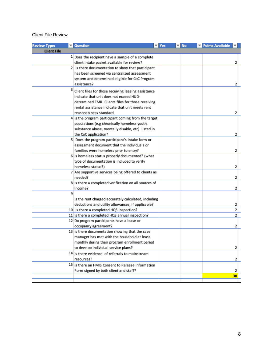## Client File Review

| <b>Review Type:</b> | Question                                                         | $\overline{\mathbf{y}}$ Yes<br>▼∣ | <b>No</b> | Points Available | ▼∣ |
|---------------------|------------------------------------------------------------------|-----------------------------------|-----------|------------------|----|
| <b>Client File</b>  |                                                                  |                                   |           |                  |    |
|                     | $1$ Does the recipient have a sample of a complete               |                                   |           |                  |    |
|                     | client intake packet available for review?                       |                                   |           |                  | 2  |
|                     | 2 Is there documentation to show that participant                |                                   |           |                  |    |
|                     | has been screened via centralized assessment                     |                                   |           |                  |    |
|                     | system and determined eligible for CoC Program                   |                                   |           |                  |    |
|                     | assistance?                                                      |                                   |           |                  | 2  |
| з                   | Client files for those receiving leasing assistance              |                                   |           |                  |    |
|                     | indicate that unit does not exceed HUD-                          |                                   |           |                  |    |
|                     | determined FMR. Clients files for those receiving                |                                   |           |                  |    |
|                     | rental assistance indicate that unit meets rent                  |                                   |           |                  |    |
|                     | reasonablness standard.                                          |                                   |           |                  | 2  |
|                     | 4 Is the program participant coming from the target              |                                   |           |                  |    |
|                     | populations (e.g chronically homeless youth,                     |                                   |           |                  |    |
|                     | substance abuse, mentally disable, etc) listed in                |                                   |           |                  |    |
|                     | the CoC application?                                             |                                   |           |                  | 2  |
|                     | 5 Does the program participant's intake form or                  |                                   |           |                  |    |
|                     | assessment document that the individuals or                      |                                   |           |                  |    |
|                     | families were homeless prior to entry?                           |                                   |           |                  | 2  |
|                     | 6 Is homeless status properly documented? (what                  |                                   |           |                  |    |
|                     | type of documentation is included to verify<br>homeless status?) |                                   |           |                  |    |
|                     | 7 Are supportive services being offered to clients as            |                                   |           |                  | 2  |
|                     | needed?                                                          |                                   |           |                  | 2  |
|                     | 8 Is there a completed verification on all sources of            |                                   |           |                  |    |
|                     | income?                                                          |                                   |           |                  | 2  |
| 9                   |                                                                  |                                   |           |                  |    |
|                     | Is the rent charged accurately calculated, including             |                                   |           |                  |    |
|                     | deductions and utility allowances, if applicable?                |                                   |           |                  | 2  |
|                     | 10 Is there a completed HQS inspection?                          |                                   |           |                  | 2  |
|                     | 11 Is there a completed HQS annual inspection?                   |                                   |           |                  | 2  |
|                     | 12 Do program participants have a lease or                       |                                   |           |                  |    |
|                     | occupancy agreement?                                             |                                   |           |                  | 2  |
|                     | 13 Is there documentation showing that the case                  |                                   |           |                  |    |
|                     | manager has met with the household at least                      |                                   |           |                  |    |
|                     | monthly during their program enrollment period                   |                                   |           |                  |    |
|                     | to develop individual service plans?                             |                                   |           |                  | 2  |
|                     | 14 Is there evidence of referrals to mainstream                  |                                   |           |                  |    |
|                     | resources?                                                       |                                   |           |                  | 2  |
|                     | 15 Is there an HMIS Consent to Release Information               |                                   |           |                  |    |
|                     | Form signed by both client and staff?                            |                                   |           |                  | 2  |
|                     |                                                                  |                                   |           |                  | 30 |
|                     |                                                                  |                                   |           |                  |    |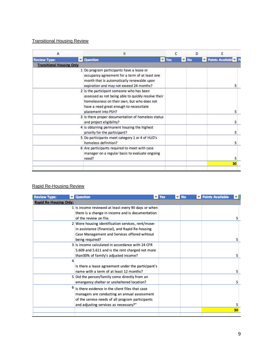#### Transitional Housing Review

|                                  | В                                                                                                                                        |                                                                                                                                                                                                                                                        | c                                                                                                         |              |                    | Ε |                    |
|----------------------------------|------------------------------------------------------------------------------------------------------------------------------------------|--------------------------------------------------------------------------------------------------------------------------------------------------------------------------------------------------------------------------------------------------------|-----------------------------------------------------------------------------------------------------------|--------------|--------------------|---|--------------------|
|                                  |                                                                                                                                          |                                                                                                                                                                                                                                                        |                                                                                                           |              |                    |   |                    |
| <b>Transitional Housing Only</b> |                                                                                                                                          |                                                                                                                                                                                                                                                        |                                                                                                           |              |                    |   |                    |
|                                  | occupancy agreement for a term of at least one<br>month that is automatically renewable upon<br>expiration and may not exceed 24 months? |                                                                                                                                                                                                                                                        |                                                                                                           |              |                    |   | 5                  |
|                                  | homelessness on their own, but who does not<br>have a need great enough to necessitate<br>placement into PSH?                            |                                                                                                                                                                                                                                                        |                                                                                                           |              |                    |   | 5                  |
|                                  | and project eligibility?                                                                                                                 |                                                                                                                                                                                                                                                        |                                                                                                           |              |                    |   |                    |
|                                  | priority for the participant?                                                                                                            |                                                                                                                                                                                                                                                        |                                                                                                           |              |                    |   |                    |
|                                  | homeless definition?                                                                                                                     |                                                                                                                                                                                                                                                        |                                                                                                           |              |                    |   |                    |
|                                  | manager on a regular basis to evaluate ongoing<br>need?                                                                                  |                                                                                                                                                                                                                                                        |                                                                                                           |              |                    |   | 5                  |
|                                  |                                                                                                                                          |                                                                                                                                                                                                                                                        |                                                                                                           |              |                    |   | 30                 |
|                                  |                                                                                                                                          | Question<br>1 Do program participants have a lease or<br>2 Is the participant someone who has been<br>4 Is obtaining permanent housing the highest<br>5 Do participants meet category 1 or 4 of HUD's<br>6 Are participants required to meet with case | assessed as not being able to quickly resolve their<br>3 Is there proper documentation of homeless status | $\nabla$ Yes | $\triangledown$ No | D | Points Available P |

## Rapid Re-Housing Review

| <b>Review Type:</b>           | <b>Question</b>                                     | $\overline{\mathsf{y}}$ Yes | ▼∣ | <b>No</b> | Points Available |                |
|-------------------------------|-----------------------------------------------------|-----------------------------|----|-----------|------------------|----------------|
| <b>Rapid Re-Housing Only:</b> |                                                     |                             |    |           |                  |                |
|                               | 1 Is income reviewed at least every 90 days or when |                             |    |           |                  |                |
|                               | there is a change in income and is documentation    |                             |    |           |                  |                |
|                               | of the review on file.                              |                             |    |           |                  | 5 <sup>1</sup> |
|                               | 2 Were housing identification services, rent/move-  |                             |    |           |                  |                |
|                               | in assistance (financial), and Rapid Re-housing     |                             |    |           |                  |                |
|                               | Case Management and Services offered wihtout        |                             |    |           |                  |                |
|                               | being required?                                     |                             |    |           |                  | 5              |
|                               | 3 Is income calculated in accordance with 24 CFR    |                             |    |           |                  |                |
|                               | 5.609 and 5.611 and is the rent charged not more    |                             |    |           |                  |                |
|                               | than30% of family's adjusted income?                |                             |    |           |                  | 5              |
| 4                             |                                                     |                             |    |           |                  |                |
|                               | Is there a lease agreement under the participant's  |                             |    |           |                  |                |
|                               | name with a term of at least 12 months?             |                             |    |           |                  | 5              |
|                               | 5 Did the person/family come directly from an       |                             |    |           |                  |                |
|                               | emergency shelter or unsheltered location?          |                             |    |           |                  | 5              |
| 6                             | Is there evidence in the client files that case     |                             |    |           |                  |                |
|                               | managers are conducting an annual assessment        |                             |    |           |                  |                |
|                               | of the service needs of all program participants    |                             |    |           |                  |                |
|                               | and adjusting services as necessary?"               |                             |    |           |                  | 5              |
|                               |                                                     |                             |    |           |                  | 30             |
|                               |                                                     |                             |    |           |                  |                |